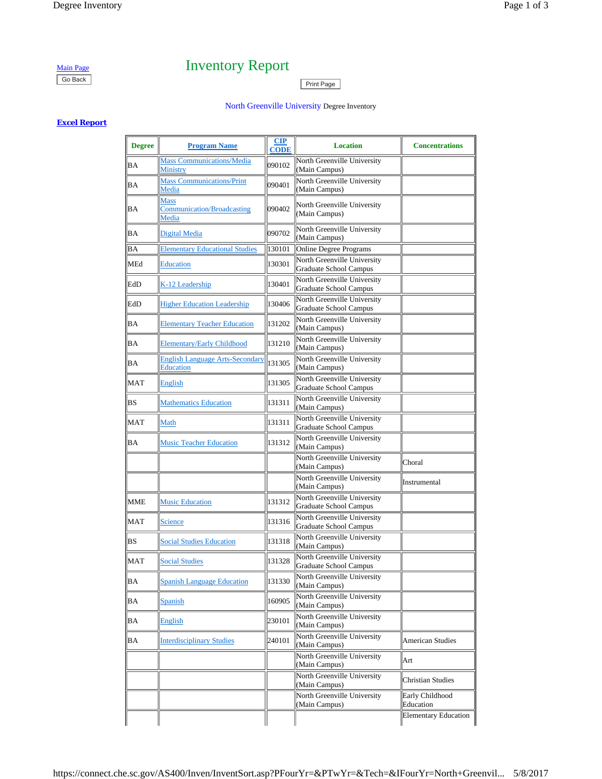# Main Page Inventory Report Go Back Print Page

## North Greenville University Degree Inventory

## **Excel Report**

| <b>Degree</b> | <b>Program Name</b>                                        | <u>CIP</u><br><b>CODE</b> | <b>Location</b>                                       | <b>Concentrations</b>        |
|---------------|------------------------------------------------------------|---------------------------|-------------------------------------------------------|------------------------------|
| BA            | <b>Mass Communications/Media</b><br>Ministry               | 090102                    | North Greenville University<br>(Main Campus)          |                              |
| BA            | <b>Mass Communications/Print</b><br>Media                  | 090401                    | North Greenville University<br>(Main Campus)          |                              |
| BA            | <b>Mass</b><br><b>Communication/Broadcasting</b><br>Media  | 090402                    | North Greenville University<br>(Main Campus)          |                              |
| BA            | Digital Media                                              | 090702                    | North Greenville University<br>(Main Campus)          |                              |
| ВA            | <b>Elementary Educational Studies</b>                      | 130101                    | Online Degree Programs                                |                              |
| MEd           | <b>Education</b>                                           | 130301                    | North Greenville University<br>Graduate School Campus |                              |
| EdD           | K-12 Leadership                                            | 130401                    | North Greenville University<br>Graduate School Campus |                              |
| EdD           | <b>Higher Education Leadership</b>                         | 130406                    | North Greenville University<br>Graduate School Campus |                              |
| <b>BA</b>     | <b>Elementary Teacher Education</b>                        | 131202                    | North Greenville University<br>(Main Campus)          |                              |
| BA            | <b>Elementary/Early Childhood</b>                          | 131210                    | North Greenville University<br>(Main Campus)          |                              |
| BA            | <b>English Language Arts-Secondary</b><br><b>Education</b> | 131305                    | North Greenville University<br>(Main Campus)          |                              |
| MAT           | English                                                    | 131305                    | North Greenville University<br>Graduate School Campus |                              |
| <b>BS</b>     | <b>Mathematics Education</b>                               | 131311                    | North Greenville University<br>(Main Campus)          |                              |
| <b>MAT</b>    | Math                                                       | 131311                    | North Greenville University<br>Graduate School Campus |                              |
| ΒA            | <b>Music Teacher Education</b>                             | 131312                    | North Greenville University<br>(Main Campus)          |                              |
|               |                                                            |                           | North Greenville University<br>(Main Campus)          | Choral                       |
|               |                                                            |                           | North Greenville University<br>(Main Campus)          | Instrumental                 |
| MME           | <b>Music Education</b>                                     | 131312                    | North Greenville University<br>Graduate School Campus |                              |
| <b>MAT</b>    | <b>Science</b>                                             | 131316                    | North Greenville University<br>Graduate School Campus |                              |
| BS            | <b>Social Studies Education</b>                            | 131318                    | North Greenville University<br>(Main Campus)          |                              |
| MAT           | <b>Social Studies</b>                                      | 131328                    | North Greenville University<br>Graduate School Campus |                              |
| BA            | <b>Spanish Language Education</b>                          | 131330                    | North Greenville University<br>(Main Campus)          |                              |
| BA            | Spanish                                                    | 160905                    | North Greenville University<br>(Main Campus)          |                              |
| BA            | English                                                    | 230101                    | North Greenville University<br>(Main Campus)          |                              |
| ΒA            | <b>Interdisciplinary Studies</b>                           | 240101                    | North Greenville University<br>(Main Campus)          | <b>American Studies</b>      |
|               |                                                            |                           | North Greenville University<br>(Main Campus)          | Art                          |
|               |                                                            |                           | North Greenville University<br>(Main Campus)          | <b>Christian Studies</b>     |
|               |                                                            |                           | North Greenville University<br>(Main Campus)          | Early Childhood<br>Education |
|               |                                                            |                           |                                                       | <b>Elementary Education</b>  |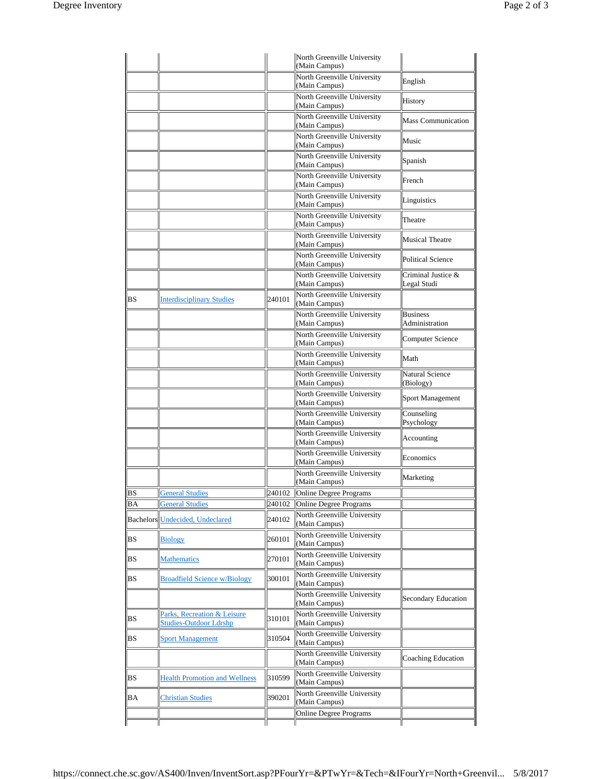|           |                                                       |        | North Greenville University<br>(Main Campus)          |                                   |
|-----------|-------------------------------------------------------|--------|-------------------------------------------------------|-----------------------------------|
|           |                                                       |        | North Greenville University                           | English                           |
|           |                                                       |        | (Main Campus)<br>North Greenville University          |                                   |
|           |                                                       |        | (Main Campus)<br>North Greenville University          | History                           |
|           |                                                       |        | (Main Campus)                                         | <b>Mass Communication</b>         |
|           |                                                       |        | North Greenville University<br>(Main Campus)          | Music                             |
|           |                                                       |        | North Greenville University<br>(Main Campus)          | Spanish                           |
|           |                                                       |        | North Greenville University<br>(Main Campus)          | French                            |
|           |                                                       |        | North Greenville University<br>(Main Campus)          | Linguistics                       |
|           |                                                       |        | North Greenville University<br>(Main Campus)          | Theatre                           |
|           |                                                       |        | North Greenville University<br>(Main Campus)          | Musical Theatre                   |
|           |                                                       |        | North Greenville University<br>(Main Campus)          | <b>Political Science</b>          |
|           |                                                       |        | North Greenville University<br>(Main Campus)          | Criminal Justice &<br>Legal Studi |
| <b>BS</b> | <b>Interdisciplinary Studies</b>                      | 240101 | North Greenville University<br>(Main Campus)          |                                   |
|           |                                                       |        | North Greenville University<br>(Main Campus)          | <b>Business</b><br>Administration |
|           |                                                       |        | North Greenville University<br>(Main Campus)          | Computer Science                  |
|           |                                                       |        | North Greenville University<br>(Main Campus)          | Math                              |
|           |                                                       |        | North Greenville University<br>(Main Campus)          | Natural Science<br>(Biology)      |
|           |                                                       |        | North Greenville University<br>(Main Campus)          | Sport Management                  |
|           |                                                       |        | North Greenville University<br>(Main Campus)          | Counseling<br>Psychology          |
|           |                                                       |        | North Greenville University<br>(Main Campus)          | Accounting                        |
|           |                                                       |        | North Greenville University<br>(Main Campus)          | Economics                         |
|           |                                                       |        | North Greenville University<br>(Main Campus)          | Marketing                         |
| ВS        | <b>General Studies</b>                                | 240102 | Online Degree Programs                                |                                   |
| ВA        | <b>General Studies</b>                                | 240102 | Online Degree Programs<br>North Greenville University |                                   |
|           | Bachelors Undecided, Undeclared                       | 240102 | (Main Campus)                                         |                                   |
| BS        | <b>Biology</b>                                        | 260101 | North Greenville University<br>(Main Campus)          |                                   |
| <b>BS</b> | <b>Mathematics</b>                                    | 270101 | North Greenville University<br>(Main Campus)          |                                   |
| <b>BS</b> | <b>Broadfield Science w/Biology</b>                   | 300101 | North Greenville University<br>(Main Campus)          |                                   |
|           |                                                       |        | North Greenville University<br>(Main Campus)          | Secondary Education               |
| <b>BS</b> | Parks, Recreation & Leisure<br>Studies-Outdoor Ldrshp | 310101 | North Greenville University<br>(Main Campus)          |                                   |
| <b>BS</b> | <b>Sport Management</b>                               | 310504 | North Greenville University<br>(Main Campus)          |                                   |
|           |                                                       |        | North Greenville University<br>(Main Campus)          | Coaching Education                |
| <b>BS</b> | <b>Health Promotion and Wellness</b>                  | 310599 | North Greenville University<br>(Main Campus)          |                                   |
| BA        | <b>Christian Studies</b>                              | 390201 | North Greenville University<br>(Main Campus)          |                                   |
|           |                                                       |        | <b>Online Degree Programs</b>                         |                                   |